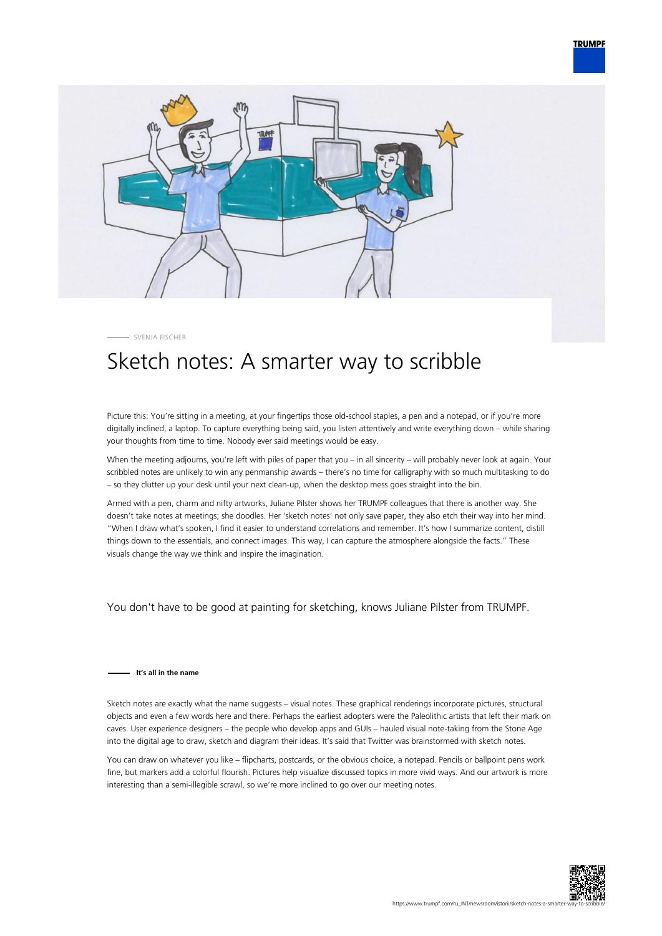



SVENJA FISCHER

## Sketch notes: A smarter way to scribble

Picture this: You're sitting in a meeting, at your fingertips those old-school staples, a pen and a notepad, or if you're more digitally inclined, a laptop. To capture everything being said, you listen attentively and write everything down – while sharing your thoughts from time to time. Nobody ever said meetings would be easy.

When the meeting adjourns, you're left with piles of paper that you – in all sincerity – will probably never look at again. Your scribbled notes are unlikely to win any penmanship awards – there's no time for calligraphy with so much multitasking to do – so they clutter up your desk until your next clean-up, when the desktop mess goes straight into the bin.

Armed with a pen, charm and nifty artworks, Juliane Pilster shows her TRUMPF colleagues that there is another way. She doesn't take notes at meetings; she doodles. Her 'sketch notes' not only save paper, they also etch their way into her mind. "When I draw what's spoken, I find it easier to understand correlations and remember. It's how I summarize content, distill things down to the essentials, and connect images. This way, I can capture the atmosphere alongside the facts." These visuals change the way we think and inspire the imagination.

You don't have to be good at painting for sketching, knows Juliane Pilster from TRUMPF.

## **It's all in the name**

Sketch notes are exactly what the name suggests – visual notes. These graphical renderings incorporate pictures, structural objects and even a few words here and there. Perhaps the earliest adopters were the Paleolithic artists that left their mark on caves. User experience designers – the people who develop apps and GUIs – hauled visual note-taking from the Stone Age into the digital age to draw, sketch and diagram their ideas. It's said that Twitter was brainstormed with sketch notes.

You can draw on whatever you like – flipcharts, postcards, or the obvious choice, a notepad. Pencils or ballpoint pens work fine, but markers add a colorful flourish. Pictures help visualize discussed topics in more vivid ways. And our artwork is more interesting than a semi-illegible scrawl, so we're more inclined to go over our meeting notes.